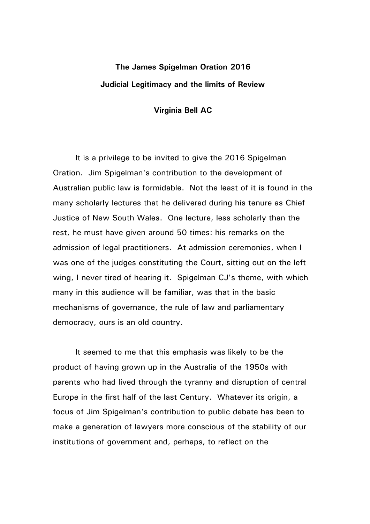## **The James Spigelman Oration 2016 Judicial Legitimacy and the limits of Review**

## **Virginia Bell AC**

It is a privilege to be invited to give the 2016 Spigelman Oration. Jim Spigelman's contribution to the development of Australian public law is formidable. Not the least of it is found in the many scholarly lectures that he delivered during his tenure as Chief Justice of New South Wales. One lecture, less scholarly than the rest, he must have given around 50 times: his remarks on the admission of legal practitioners. At admission ceremonies, when I was one of the judges constituting the Court, sitting out on the left wing, I never tired of hearing it. Spigelman CJ's theme, with which many in this audience will be familiar, was that in the basic mechanisms of governance, the rule of law and parliamentary democracy, ours is an old country.

It seemed to me that this emphasis was likely to be the product of having grown up in the Australia of the 1950s with parents who had lived through the tyranny and disruption of central Europe in the first half of the last Century. Whatever its origin, a focus of Jim Spigelman's contribution to public debate has been to make a generation of lawyers more conscious of the stability of our institutions of government and, perhaps, to reflect on the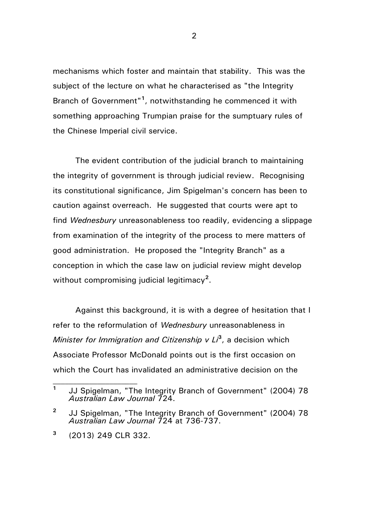mechanisms which foster and maintain that stability. This was the subject of the lecture on what he characterised as "the Integrity Branch of Government"**<sup>1</sup>** , notwithstanding he commenced it with something approaching Trumpian praise for the sumptuary rules of the Chinese Imperial civil service.

The evident contribution of the judicial branch to maintaining the integrity of government is through judicial review. Recognising its constitutional significance, Jim Spigelman's concern has been to caution against overreach. He suggested that courts were apt to find *Wednesbury* unreasonableness too readily, evidencing a slippage from examination of the integrity of the process to mere matters of good administration. He proposed the "Integrity Branch" as a conception in which the case law on judicial review might develop without compromising judicial legitimacy**<sup>2</sup>** .

Against this background, it is with a degree of hesitation that I refer to the reformulation of *Wednesbury* unreasonableness in *Minister for Immigration and Citizenship v Li***<sup>3</sup>** , a decision which Associate Professor McDonald points out is the first occasion on which the Court has invalidated an administrative decision on the

**<sup>1</sup>** JJ Spigelman, "The Integrity Branch of Government" (2004) 78 *Australian Law Journal* 724.

**<sup>2</sup>** JJ Spigelman, "The Integrity Branch of Government" (2004) 78 *Australian Law Journal* 724 at 736-737.

**<sup>3</sup>** (2013) 249 CLR 332.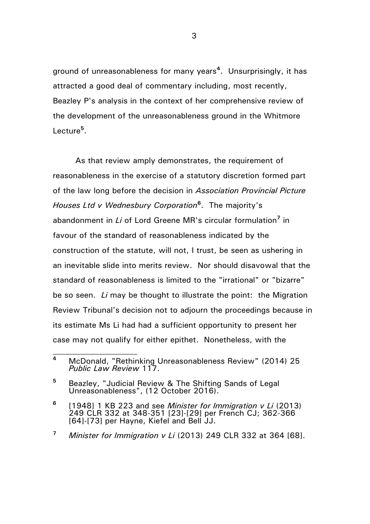ground of unreasonableness for many years**<sup>4</sup>** . Unsurprisingly, it has attracted a good deal of commentary including, most recently, Beazley P's analysis in the context of her comprehensive review of the development of the unreasonableness ground in the Whitmore Lecture**<sup>5</sup>** .

As that review amply demonstrates, the requirement of reasonableness in the exercise of a statutory discretion formed part of the law long before the decision in *Association Provincial Picture Houses Ltd v Wednesbury Corporation***<sup>6</sup>** . The majority's abandonment in *Li* of Lord Greene MR's circular formulation**<sup>7</sup>** in favour of the standard of reasonableness indicated by the construction of the statute, will not, I trust, be seen as ushering in an inevitable slide into merits review. Nor should disavowal that the standard of reasonableness is limited to the "irrational" or "bizarre" be so seen. *Li* may be thought to illustrate the point: the Migration Review Tribunal's decision not to adjourn the proceedings because in its estimate Ms Li had had a sufficient opportunity to present her case may not qualify for either epithet. Nonetheless, with the

**<sup>4</sup>** McDonald, "Rethinking Unreasonableness Review" (2014) 25 *Public Law Review* 117.

**<sup>5</sup>** Beazley, "Judicial Review & The Shifting Sands of Legal Unreasonableness", (12 October 2016).

**<sup>6</sup>** [1948] 1 KB 223 and see *Minister for Immigration v Li* (2013) 249 CLR 332 at 348-351 [23]-[29] per French CJ; 362-366 [64]-[73] per Hayne, Kiefel and Bell JJ.

**<sup>7</sup>** *Minister for Immigration v Li* (2013) 249 CLR 332 at 364 [68].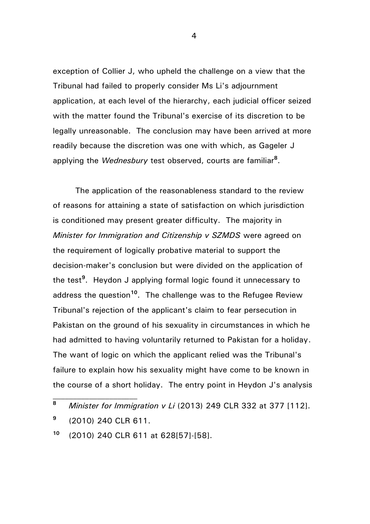exception of Collier J, who upheld the challenge on a view that the Tribunal had failed to properly consider Ms Li's adjournment application, at each level of the hierarchy, each judicial officer seized with the matter found the Tribunal's exercise of its discretion to be legally unreasonable. The conclusion may have been arrived at more readily because the discretion was one with which, as Gageler J applying the *Wednesbury* test observed, courts are familiar**<sup>8</sup>** .

The application of the reasonableness standard to the review of reasons for attaining a state of satisfaction on which jurisdiction is conditioned may present greater difficulty. The majority in *Minister for Immigration and Citizenship v SZMDS* were agreed on the requirement of logically probative material to support the decision-maker's conclusion but were divided on the application of the test**<sup>9</sup>** . Heydon J applying formal logic found it unnecessary to address the question**<sup>10</sup>**. The challenge was to the Refugee Review Tribunal's rejection of the applicant's claim to fear persecution in Pakistan on the ground of his sexuality in circumstances in which he had admitted to having voluntarily returned to Pakistan for a holiday. The want of logic on which the applicant relied was the Tribunal's failure to explain how his sexuality might have come to be known in the course of a short holiday. The entry point in Heydon J's analysis

**<sup>8</sup>** *Minister for Immigration v Li* (2013) 249 CLR 332 at 377 [112].

**<sup>9</sup>** (2010) 240 CLR 611.

**<sup>10</sup>** (2010) 240 CLR 611 at 628[57]-[58].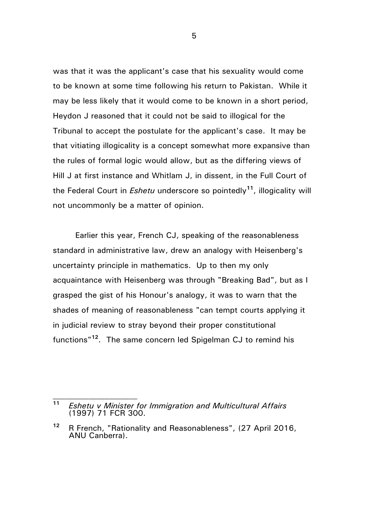was that it was the applicant's case that his sexuality would come to be known at some time following his return to Pakistan. While it may be less likely that it would come to be known in a short period, Heydon J reasoned that it could not be said to illogical for the Tribunal to accept the postulate for the applicant's case. It may be that vitiating illogicality is a concept somewhat more expansive than the rules of formal logic would allow, but as the differing views of Hill J at first instance and Whitlam J, in dissent, in the Full Court of the Federal Court in *Eshetu* underscore so pointedly**<sup>11</sup>**, illogicality will not uncommonly be a matter of opinion.

Earlier this year, French CJ, speaking of the reasonableness standard in administrative law, drew an analogy with Heisenberg's uncertainty principle in mathematics. Up to then my only acquaintance with Heisenberg was through "Breaking Bad", but as I grasped the gist of his Honour's analogy, it was to warn that the shades of meaning of reasonableness "can tempt courts applying it in judicial review to stray beyond their proper constitutional functions"**<sup>12</sup>**. The same concern led Spigelman CJ to remind his

**<sup>11</sup>** *Eshetu v Minister for Immigration and Multicultural Affairs*  (1997) 71 FCR 300.

**<sup>12</sup>** R French, "Rationality and Reasonableness", (27 April 2016, ANU Canberra).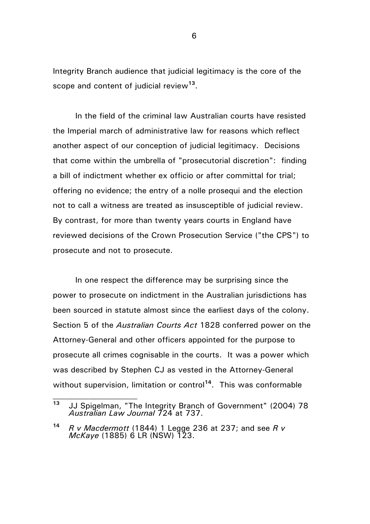Integrity Branch audience that judicial legitimacy is the core of the scope and content of judicial review**<sup>13</sup>** .

In the field of the criminal law Australian courts have resisted the Imperial march of administrative law for reasons which reflect another aspect of our conception of judicial legitimacy. Decisions that come within the umbrella of "prosecutorial discretion": finding a bill of indictment whether ex officio or after committal for trial; offering no evidence; the entry of a nolle prosequi and the election not to call a witness are treated as insusceptible of judicial review. By contrast, for more than twenty years courts in England have reviewed decisions of the Crown Prosecution Service ("the CPS") to prosecute and not to prosecute.

In one respect the difference may be surprising since the power to prosecute on indictment in the Australian jurisdictions has been sourced in statute almost since the earliest days of the colony. Section 5 of the *Australian Courts Act* 1828 conferred power on the Attorney-General and other officers appointed for the purpose to prosecute all crimes cognisable in the courts. It was a power which was described by Stephen CJ as vested in the Attorney-General without supervision, limitation or control<sup>14</sup>. This was conformable

**<sup>13</sup>** JJ Spigelman, "The Integrity Branch of Government" (2004) 78 *Australian Law Journal* 724 at 737.

**<sup>14</sup>** *R v Macdermott* (1844) 1 Legge 236 at 237; and see *R v McKaye* (1885) 6 LR (NSW) 123.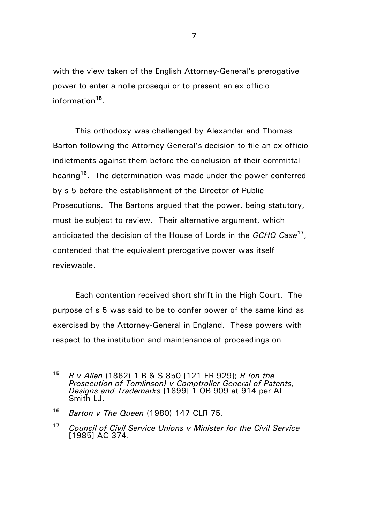with the view taken of the English Attorney-General's prerogative power to enter a nolle prosequi or to present an ex officio information**<sup>15</sup>** .

This orthodoxy was challenged by Alexander and Thomas Barton following the Attorney-General's decision to file an ex officio indictments against them before the conclusion of their committal hearing**<sup>16</sup>**. The determination was made under the power conferred by s 5 before the establishment of the Director of Public Prosecutions. The Bartons argued that the power, being statutory, must be subject to review. Their alternative argument, which anticipated the decision of the House of Lords in the *GCHQ Case***<sup>17</sup>** , contended that the equivalent prerogative power was itself reviewable.

Each contention received short shrift in the High Court. The purpose of s 5 was said to be to confer power of the same kind as exercised by the Attorney-General in England. These powers with respect to the institution and maintenance of proceedings on

**<sup>15</sup>** *R v Allen* (1862) 1 B & S 850 [121 ER 929]; *R (on the Prosecution of Tomlinson) v Comptroller-General of Patents, Designs and Trademarks* [1899] 1 QB 909 at 914 per AL Smith LJ.

**<sup>16</sup>** *Barton v The Queen* (1980) 147 CLR 75.

**<sup>17</sup>** *Council of Civil Service Unions v Minister for the Civil Service* [1985] AC 374.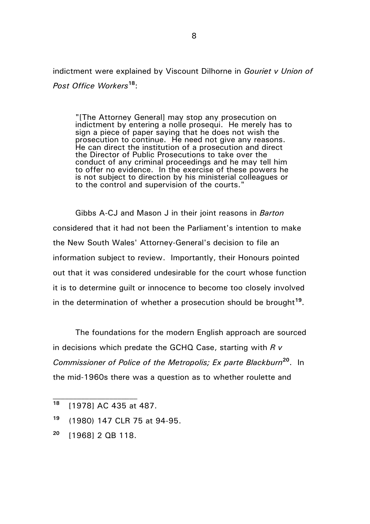indictment were explained by Viscount Dilhorne in *Gouriet v Union of Post Office Workers***<sup>18</sup>**:

"[The Attorney General] may stop any prosecution on indictment by entering a nolle prosequi. He merely has to sign a piece of paper saying that he does not wish the prosecution to continue. He need not give any reasons. He can direct the institution of a prosecution and direct the Director of Public Prosecutions to take over the conduct of any criminal proceedings and he may tell him to offer no evidence. In the exercise of these powers he is not subject to direction by his ministerial colleagues or to the control and supervision of the courts."

Gibbs A-CJ and Mason J in their joint reasons in *Barton* considered that it had not been the Parliament's intention to make the New South Wales' Attorney-General's decision to file an information subject to review. Importantly, their Honours pointed out that it was considered undesirable for the court whose function it is to determine guilt or innocence to become too closely involved in the determination of whether a prosecution should be brought**<sup>19</sup>** .

The foundations for the modern English approach are sourced in decisions which predate the GCHQ Case, starting with *R v Commissioner of Police of the Metropolis; Ex parte Blackburn***<sup>20</sup>** . In the mid-1960s there was a question as to whether roulette and

- **<sup>19</sup>** (1980) 147 CLR 75 at 94-95.
- **<sup>20</sup>** [1968] 2 QB 118.

**<sup>18</sup>** [1978] AC 435 at 487.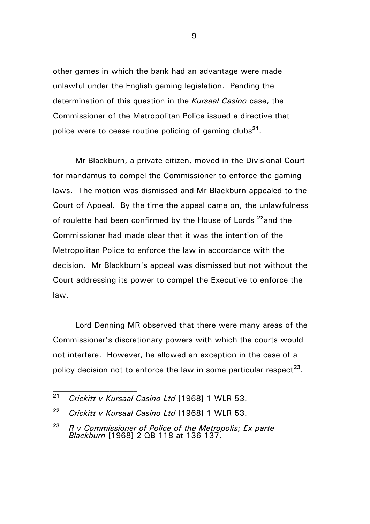other games in which the bank had an advantage were made unlawful under the English gaming legislation. Pending the determination of this question in the *Kursaal Casino* case, the Commissioner of the Metropolitan Police issued a directive that police were to cease routine policing of gaming clubs**<sup>21</sup>** .

Mr Blackburn, a private citizen, moved in the Divisional Court for mandamus to compel the Commissioner to enforce the gaming laws. The motion was dismissed and Mr Blackburn appealed to the Court of Appeal. By the time the appeal came on, the unlawfulness of roulette had been confirmed by the House of Lords **<sup>22</sup>**and the Commissioner had made clear that it was the intention of the Metropolitan Police to enforce the law in accordance with the decision. Mr Blackburn's appeal was dismissed but not without the Court addressing its power to compel the Executive to enforce the law.

Lord Denning MR observed that there were many areas of the Commissioner's discretionary powers with which the courts would not interfere. However, he allowed an exception in the case of a policy decision not to enforce the law in some particular respect<sup>23</sup>.

**<sup>21</sup>** *Crickitt v Kursaal Casino Ltd* [1968] 1 WLR 53.

**<sup>22</sup>** *Crickitt v Kursaal Casino Ltd* [1968] 1 WLR 53.

**<sup>23</sup>** *R v Commissioner of Police of the Metropolis; Ex parte Blackburn* [1968] 2 QB 118 at 136-137.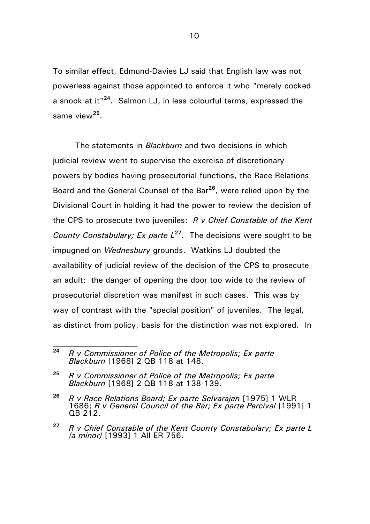To similar effect, Edmund-Davies LJ said that English law was not powerless against those appointed to enforce it who "merely cocked a snook at it" **24** . Salmon LJ, in less colourful terms, expressed the same view**<sup>25</sup>** .

The statements in *Blackburn* and two decisions in which judicial review went to supervise the exercise of discretionary powers by bodies having prosecutorial functions, the Race Relations Board and the General Counsel of the Bar**<sup>26</sup>** , were relied upon by the Divisional Court in holding it had the power to review the decision of the CPS to prosecute two juveniles: *R v Chief Constable of the Kent County Constabulary; Ex parte L***<sup>27</sup>** . The decisions were sought to be impugned on *Wednesbury* grounds. Watkins LJ doubted the availability of judicial review of the decision of the CPS to prosecute an adult: the danger of opening the door too wide to the review of prosecutorial discretion was manifest in such cases. This was by way of contrast with the "special position" of juveniles. The legal, as distinct from policy, basis for the distinction was not explored. In

**<sup>24</sup>** *R v Commissioner of Police of the Metropolis; Ex parte Blackburn* [1968] 2 QB 118 at 148.

**<sup>25</sup>** *R v Commissioner of Police of the Metropolis; Ex parte Blackburn* [1968] 2 QB 118 at 138-139.

**<sup>26</sup>** *R v Race Relations Board; Ex parte Selvarajan* [1975] 1 WLR 1686; *R v General Council of the Bar; Ex parte Percival* [1991] 1 QB 212.

**<sup>27</sup>** *R v Chief Constable of the Kent County Constabulary; Ex parte L (a minor)* [1993] 1 All ER 756.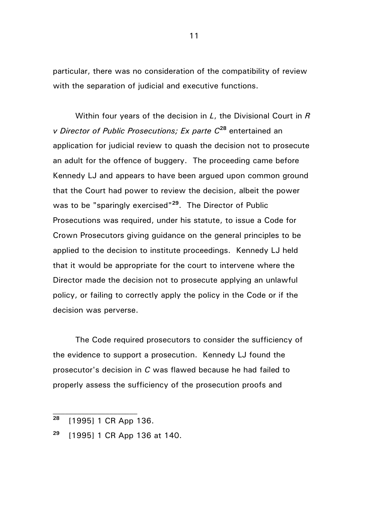particular, there was no consideration of the compatibility of review with the separation of judicial and executive functions.

Within four years of the decision in *L*, the Divisional Court in *R v Director of Public Prosecutions; Ex parte C***<sup>28</sup>** entertained an application for judicial review to quash the decision not to prosecute an adult for the offence of buggery. The proceeding came before Kennedy LJ and appears to have been argued upon common ground that the Court had power to review the decision, albeit the power was to be "sparingly exercised"**<sup>29</sup>** . The Director of Public Prosecutions was required, under his statute, to issue a Code for Crown Prosecutors giving guidance on the general principles to be applied to the decision to institute proceedings. Kennedy LJ held that it would be appropriate for the court to intervene where the Director made the decision not to prosecute applying an unlawful policy, or failing to correctly apply the policy in the Code or if the decision was perverse.

The Code required prosecutors to consider the sufficiency of the evidence to support a prosecution. Kennedy LJ found the prosecutor's decision in *C* was flawed because he had failed to properly assess the sufficiency of the prosecution proofs and

**<sup>28</sup>** [1995] 1 CR App 136.

**<sup>29</sup>** [1995] 1 CR App 136 at 140.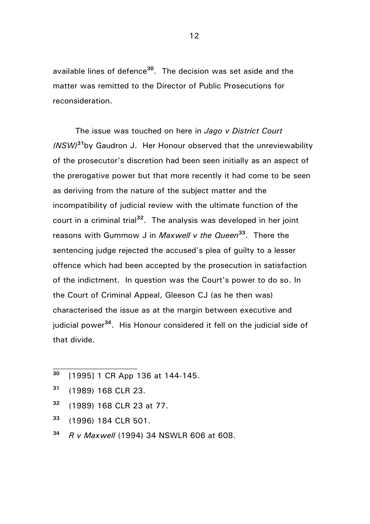available lines of defence**<sup>30</sup>** . The decision was set aside and the matter was remitted to the Director of Public Prosecutions for reconsideration.

The issue was touched on here in *Jago v District Court (NSW)***<sup>31</sup>**by Gaudron J. Her Honour observed that the unreviewability of the prosecutor's discretion had been seen initially as an aspect of the prerogative power but that more recently it had come to be seen as deriving from the nature of the subject matter and the incompatibility of judicial review with the ultimate function of the court in a criminal trial**<sup>32</sup>** . The analysis was developed in her joint reasons with Gummow J in *Maxwell v the Queen***<sup>33</sup>** . There the sentencing judge rejected the accused's plea of guilty to a lesser offence which had been accepted by the prosecution in satisfaction of the indictment. In question was the Court's power to do so. In the Court of Criminal Appeal, Gleeson CJ (as he then was) characterised the issue as at the margin between executive and judicial power**<sup>34</sup>**. His Honour considered it fell on the judicial side of that divide.

- **<sup>30</sup>** [1995] 1 CR App 136 at 144-145.
- **<sup>31</sup>** (1989) 168 CLR 23.
- **<sup>32</sup>** (1989) 168 CLR 23 at 77.
- **<sup>33</sup>** (1996) 184 CLR 501.
- **<sup>34</sup>** *R v Maxwell* (1994) 34 NSWLR 606 at 608.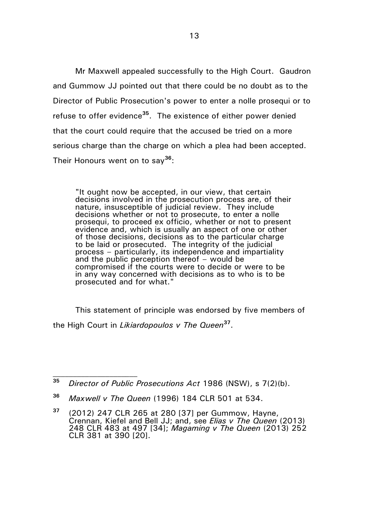Mr Maxwell appealed successfully to the High Court. Gaudron and Gummow JJ pointed out that there could be no doubt as to the Director of Public Prosecution's power to enter a nolle prosequi or to refuse to offer evidence**<sup>35</sup>**. The existence of either power denied that the court could require that the accused be tried on a more serious charge than the charge on which a plea had been accepted. Their Honours went on to say**<sup>36</sup>**:

"It ought now be accepted, in our view, that certain decisions involved in the prosecution process are, of their nature, insusceptible of judicial review. They include decisions whether or not to prosecute, to enter a nolle prosequi, to proceed ex officio, whether or not to present evidence and, which is usually an aspect of one or other of those decisions, decisions as to the particular charge to be laid or prosecuted. The integrity of the judicial process – particularly, its independence and impartiality and the public perception thereof – would be compromised if the courts were to decide or were to be in any way concerned with decisions as to who is to be prosecuted and for what."

This statement of principle was endorsed by five members of the High Court in *Likiardopoulos v The Queen***<sup>37</sup>** .

**<sup>36</sup>** *Maxwell v The Queen* (1996) 184 CLR 501 at 534.

**<sup>35</sup>** *Director of Public Prosecutions Act* 1986 (NSW), s 7(2)(b).

**<sup>37</sup>** (2012) 247 CLR 265 at 280 [37] per Gummow, Hayne, Crennan, Kiefel and Bell JJ; and, see *Elias v The Queen* (2013) 248 CLR 483 at 497 [34]; *Magaming v The Queen* (2013) 252 CLR 381 at 390 [20].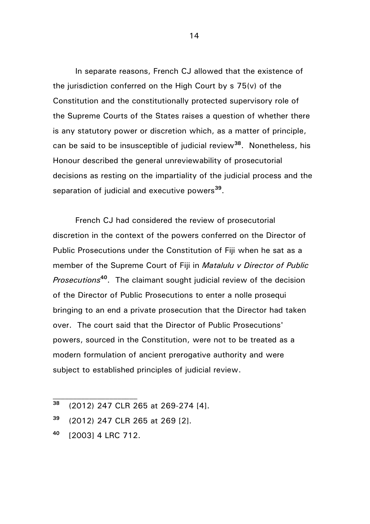In separate reasons, French CJ allowed that the existence of the jurisdiction conferred on the High Court by s 75(v) of the Constitution and the constitutionally protected supervisory role of the Supreme Courts of the States raises a question of whether there is any statutory power or discretion which, as a matter of principle, can be said to be insusceptible of judicial review**<sup>38</sup>** . Nonetheless, his Honour described the general unreviewability of prosecutorial decisions as resting on the impartiality of the judicial process and the separation of judicial and executive powers**<sup>39</sup>** .

French CJ had considered the review of prosecutorial discretion in the context of the powers conferred on the Director of Public Prosecutions under the Constitution of Fiji when he sat as a member of the Supreme Court of Fiji in *Matalulu v Director of Public Prosecutions***<sup>40</sup>** . The claimant sought judicial review of the decision of the Director of Public Prosecutions to enter a nolle prosequi bringing to an end a private prosecution that the Director had taken over. The court said that the Director of Public Prosecutions' powers, sourced in the Constitution, were not to be treated as a modern formulation of ancient prerogative authority and were subject to established principles of judicial review.

**<sup>38</sup>** (2012) 247 CLR 265 at 269-274 [4].

**<sup>39</sup>** (2012) 247 CLR 265 at 269 [2].

**<sup>40</sup>** [2003] 4 LRC 712.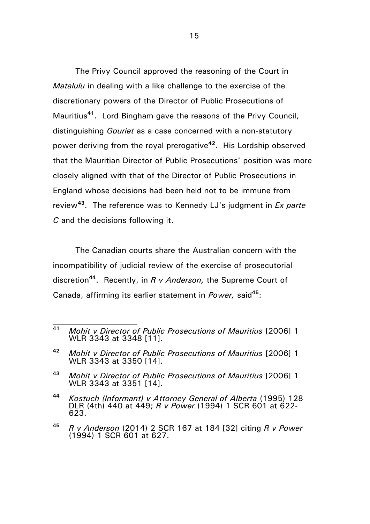The Privy Council approved the reasoning of the Court in *Matalulu* in dealing with a like challenge to the exercise of the discretionary powers of the Director of Public Prosecutions of Mauritius**<sup>41</sup>**. Lord Bingham gave the reasons of the Privy Council, distinguishing *Gouriet* as a case concerned with a non-statutory power deriving from the royal prerogative**<sup>42</sup>**. His Lordship observed that the Mauritian Director of Public Prosecutions' position was more closely aligned with that of the Director of Public Prosecutions in England whose decisions had been held not to be immune from review**<sup>43</sup>**. The reference was to Kennedy LJ's judgment in *Ex parte C* and the decisions following it.

The Canadian courts share the Australian concern with the incompatibility of judicial review of the exercise of prosecutorial discretion**<sup>44</sup>** . Recently, in *R v Anderson,* the Supreme Court of Canada, affirming its earlier statement in *Power,* said**<sup>45</sup>**:

**<sup>41</sup>** *Mohit v Director of Public Prosecutions of Mauritius* [2006] 1 WLR 3343 at 3348 [11].

**<sup>42</sup>** *Mohit v Director of Public Prosecutions of Mauritius* [2006] 1 WLR 3343 at 3350 [14].

**<sup>43</sup>** *Mohit v Director of Public Prosecutions of Mauritius* [2006] 1 WLR 3343 at 3351 [14].

**<sup>44</sup>** *Kostuch (Informant) v Attorney General of Alberta* (1995) 128 DLR (4th) 440 at 449; *R v Power* (1994) 1 SCR 601 at 622- 623.

**<sup>45</sup>** *R v Anderson* (2014) 2 SCR 167 at 184 [32] citing *R v Power*  (1994) 1 SCR 601 at 627.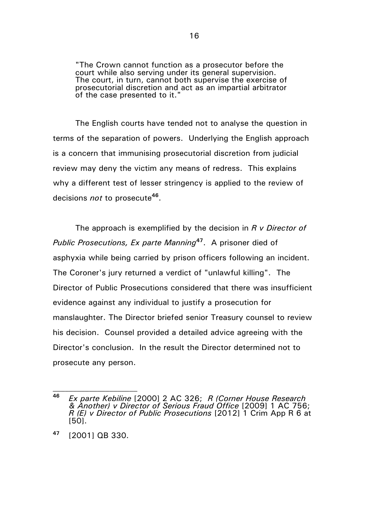"The Crown cannot function as a prosecutor before the court while also serving under its general supervision. The court, in turn, cannot both supervise the exercise of prosecutorial discretion and act as an impartial arbitrator of the case presented to it."

The English courts have tended not to analyse the question in terms of the separation of powers. Underlying the English approach is a concern that immunising prosecutorial discretion from judicial review may deny the victim any means of redress. This explains why a different test of lesser stringency is applied to the review of decisions *not* to prosecute**<sup>46</sup>** .

The approach is exemplified by the decision in *R v Director of Public Prosecutions, Ex parte Manning***<sup>47</sup>** . A prisoner died of asphyxia while being carried by prison officers following an incident. The Coroner's jury returned a verdict of "unlawful killing". The Director of Public Prosecutions considered that there was insufficient evidence against any individual to justify a prosecution for manslaughter. The Director briefed senior Treasury counsel to review his decision. Counsel provided a detailed advice agreeing with the Director's conclusion. In the result the Director determined not to prosecute any person.

**<sup>46</sup>** *Ex parte Kebiline* [2000] 2 AC 326; *R (Corner House Research & Another) v Director of Serious Fraud Office* [2009] 1 AC 756; *R (E) v Director of Public Prosecutions* [2012] 1 Crim App R 6 at [50].

**<sup>47</sup>** [2001] QB 330.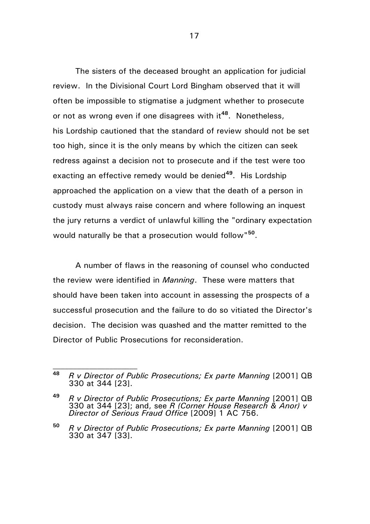The sisters of the deceased brought an application for judicial review. In the Divisional Court Lord Bingham observed that it will often be impossible to stigmatise a judgment whether to prosecute or not as wrong even if one disagrees with it**<sup>48</sup>** . Nonetheless, his Lordship cautioned that the standard of review should not be set too high, since it is the only means by which the citizen can seek redress against a decision not to prosecute and if the test were too exacting an effective remedy would be denied**<sup>49</sup>** . His Lordship approached the application on a view that the death of a person in custody must always raise concern and where following an inquest the jury returns a verdict of unlawful killing the "ordinary expectation would naturally be that a prosecution would follow"**<sup>50</sup>** .

A number of flaws in the reasoning of counsel who conducted the review were identified in *Manning*. These were matters that should have been taken into account in assessing the prospects of a successful prosecution and the failure to do so vitiated the Director's decision. The decision was quashed and the matter remitted to the Director of Public Prosecutions for reconsideration.

**<sup>48</sup>** *R v Director of Public Prosecutions; Ex parte Manning* [2001] QB 330 at 344 [23].

**<sup>49</sup>** *R v Director of Public Prosecutions; Ex parte Manning* [2001] QB 330 at 344 [23]; and, see *R (Corner House Research & Anor) v Director of Serious Fraud Office* [2009] 1 AC 756.

**<sup>50</sup>** *R v Director of Public Prosecutions; Ex parte Manning* [2001] QB 330 at 347 [33].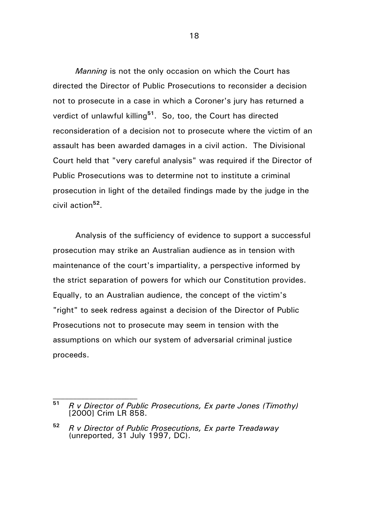*Manning* is not the only occasion on which the Court has directed the Director of Public Prosecutions to reconsider a decision not to prosecute in a case in which a Coroner's jury has returned a verdict of unlawful killing**<sup>51</sup>**. So, too, the Court has directed reconsideration of a decision not to prosecute where the victim of an assault has been awarded damages in a civil action. The Divisional Court held that "very careful analysis" was required if the Director of Public Prosecutions was to determine not to institute a criminal prosecution in light of the detailed findings made by the judge in the civil action**<sup>52</sup>** .

Analysis of the sufficiency of evidence to support a successful prosecution may strike an Australian audience as in tension with maintenance of the court's impartiality, a perspective informed by the strict separation of powers for which our Constitution provides. Equally, to an Australian audience, the concept of the victim's "right" to seek redress against a decision of the Director of Public Prosecutions not to prosecute may seem in tension with the assumptions on which our system of adversarial criminal justice proceeds.

**<sup>51</sup>** *R v Director of Public Prosecutions, Ex parte Jones (Timothy)* [2000] Crim LR 858.

**<sup>52</sup>** *R v Director of Public Prosecutions, Ex parte Treadaway* (unreported, 31 July 1997, DC).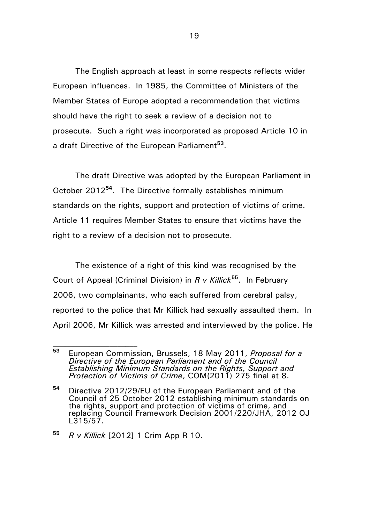The English approach at least in some respects reflects wider European influences. In 1985, the Committee of Ministers of the Member States of Europe adopted a recommendation that victims should have the right to seek a review of a decision not to prosecute. Such a right was incorporated as proposed Article 10 in a draft Directive of the European Parliament**<sup>53</sup>** .

The draft Directive was adopted by the European Parliament in October 2012**<sup>54</sup>**. The Directive formally establishes minimum standards on the rights, support and protection of victims of crime. Article 11 requires Member States to ensure that victims have the right to a review of a decision not to prosecute.

The existence of a right of this kind was recognised by the Court of Appeal (Criminal Division) in *R v Killick***<sup>55</sup>**. In February 2006, two complainants, who each suffered from cerebral palsy, reported to the police that Mr Killick had sexually assaulted them. In April 2006, Mr Killick was arrested and interviewed by the police. He

**<sup>53</sup>** European Commission, Brussels, 18 May 2011, *Proposal for a Directive of the European Parliament and of the Council Establishing Minimum Standards on the Rights, Support and Protection of Victims of Crime*, COM(2011) 275 final at 8.

**<sup>54</sup>** Directive 2012/29/EU of the European Parliament and of the Council of 25 October 2012 establishing minimum standards on the rights, support and protection of victims of crime, and replacing Council Framework Decision 2001/220/JHA, 2012 OJ L315/57.

**<sup>55</sup>** *R v Killick* [2012] 1 Crim App R 10.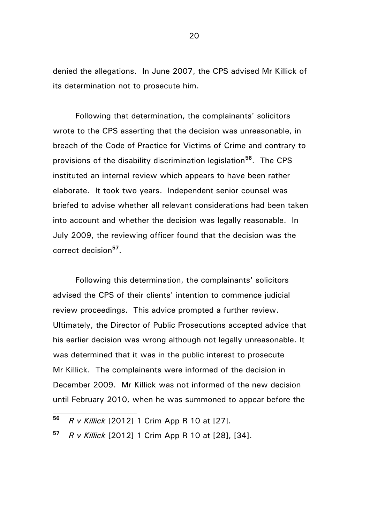denied the allegations. In June 2007, the CPS advised Mr Killick of its determination not to prosecute him.

Following that determination, the complainants' solicitors wrote to the CPS asserting that the decision was unreasonable, in breach of the Code of Practice for Victims of Crime and contrary to provisions of the disability discrimination legislation**<sup>56</sup>** . The CPS instituted an internal review which appears to have been rather elaborate. It took two years. Independent senior counsel was briefed to advise whether all relevant considerations had been taken into account and whether the decision was legally reasonable. In July 2009, the reviewing officer found that the decision was the correct decision**<sup>57</sup>** .

Following this determination, the complainants' solicitors advised the CPS of their clients' intention to commence judicial review proceedings. This advice prompted a further review. Ultimately, the Director of Public Prosecutions accepted advice that his earlier decision was wrong although not legally unreasonable. It was determined that it was in the public interest to prosecute Mr Killick. The complainants were informed of the decision in December 2009. Mr Killick was not informed of the new decision until February 2010, when he was summoned to appear before the

**<sup>56</sup>** *R v Killick* [2012] 1 Crim App R 10 at [27].

**<sup>57</sup>** *R v Killick* [2012] 1 Crim App R 10 at [28], [34].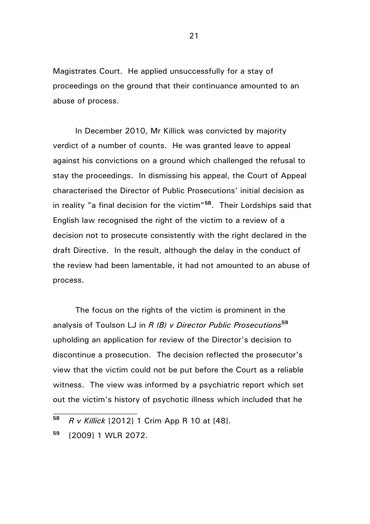Magistrates Court. He applied unsuccessfully for a stay of proceedings on the ground that their continuance amounted to an abuse of process.

In December 2010, Mr Killick was convicted by majority verdict of a number of counts. He was granted leave to appeal against his convictions on a ground which challenged the refusal to stay the proceedings. In dismissing his appeal, the Court of Appeal characterised the Director of Public Prosecutions' initial decision as in reality "a final decision for the victim"**<sup>58</sup>**. Their Lordships said that English law recognised the right of the victim to a review of a decision not to prosecute consistently with the right declared in the draft Directive. In the result, although the delay in the conduct of the review had been lamentable, it had not amounted to an abuse of process.

The focus on the rights of the victim is prominent in the analysis of Toulson LJ in *R (B) v Director Public Prosecutions***<sup>59</sup>** upholding an application for review of the Director's decision to discontinue a prosecution. The decision reflected the prosecutor's view that the victim could not be put before the Court as a reliable witness. The view was informed by a psychiatric report which set out the victim's history of psychotic illness which included that he

**<sup>59</sup>** [2009] 1 WLR 2072.

**<sup>58</sup>** *R v Killick* [2012] 1 Crim App R 10 at [48].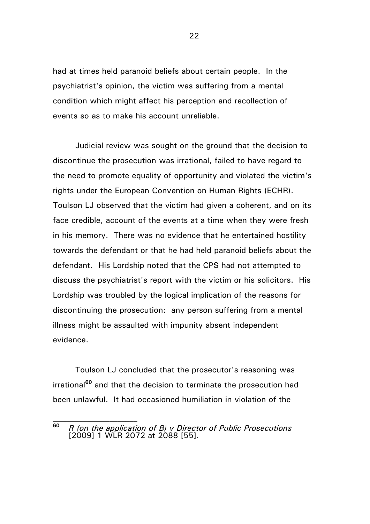had at times held paranoid beliefs about certain people. In the psychiatrist's opinion, the victim was suffering from a mental condition which might affect his perception and recollection of events so as to make his account unreliable.

Judicial review was sought on the ground that the decision to discontinue the prosecution was irrational, failed to have regard to the need to promote equality of opportunity and violated the victim's rights under the European Convention on Human Rights (ECHR). Toulson LJ observed that the victim had given a coherent, and on its face credible, account of the events at a time when they were fresh in his memory. There was no evidence that he entertained hostility towards the defendant or that he had held paranoid beliefs about the defendant. His Lordship noted that the CPS had not attempted to discuss the psychiatrist's report with the victim or his solicitors. His Lordship was troubled by the logical implication of the reasons for discontinuing the prosecution: any person suffering from a mental illness might be assaulted with impunity absent independent evidence.

Toulson LJ concluded that the prosecutor's reasoning was irrational**<sup>60</sup>** and that the decision to terminate the prosecution had been unlawful. It had occasioned humiliation in violation of the

**<sup>60</sup>** *R (on the application of B) v Director of Public Prosecutions* [2009] 1 WLR 2072 at 2088 [55].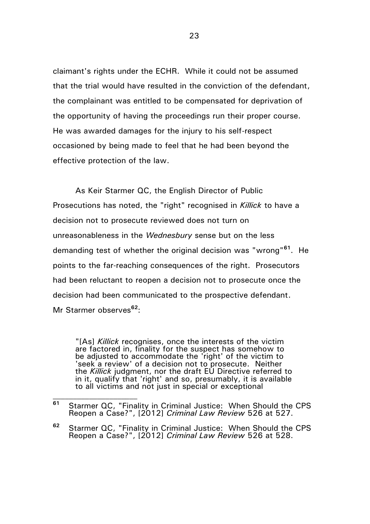claimant's rights under the ECHR. While it could not be assumed that the trial would have resulted in the conviction of the defendant, the complainant was entitled to be compensated for deprivation of the opportunity of having the proceedings run their proper course. He was awarded damages for the injury to his self-respect occasioned by being made to feel that he had been beyond the effective protection of the law.

As Keir Starmer QC, the English Director of Public Prosecutions has noted, the "right" recognised in *Killick* to have a decision not to prosecute reviewed does not turn on unreasonableness in the *Wednesbury* sense but on the less demanding test of whether the original decision was "wrong"**<sup>61</sup>**. He points to the far-reaching consequences of the right. Prosecutors had been reluctant to reopen a decision not to prosecute once the decision had been communicated to the prospective defendant. Mr Starmer observes**<sup>62</sup>**:

"[As] *Killick* recognises, once the interests of the victim are factored in, finality for the suspect has somehow to be adjusted to accommodate the 'right' of the victim to 'seek a review' of a decision not to prosecute. Neither the *Killick* judgment, nor the draft EU Directive referred to in it, qualify that 'right' and so, presumably, it is available to all victims and not just in special or exceptional

**<sup>61</sup>** Starmer QC, "Finality in Criminal Justice: When Should the CPS Reopen a Case?", [2012] *Criminal Law Review* 526 at 527.

**<sup>62</sup>** Starmer QC, "Finality in Criminal Justice: When Should the CPS Reopen a Case?", [2012] *Criminal Law Review* 526 at 528.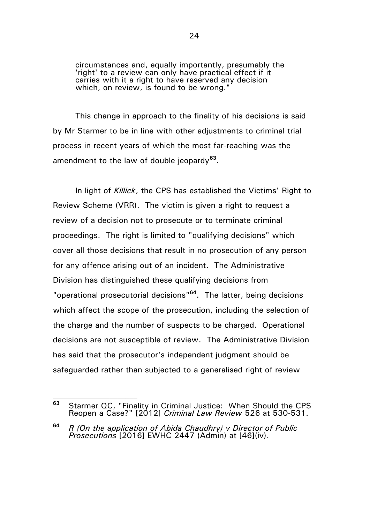circumstances and, equally importantly, presumably the 'right' to a review can only have practical effect if it carries with it a right to have reserved any decision which, on review, is found to be wrong."

This change in approach to the finality of his decisions is said by Mr Starmer to be in line with other adjustments to criminal trial process in recent years of which the most far-reaching was the amendment to the law of double jeopardy**<sup>63</sup>** .

In light of *Killick*, the CPS has established the Victims' Right to Review Scheme (VRR). The victim is given a right to request a review of a decision not to prosecute or to terminate criminal proceedings. The right is limited to "qualifying decisions" which cover all those decisions that result in no prosecution of any person for any offence arising out of an incident. The Administrative Division has distinguished these qualifying decisions from "operational prosecutorial decisions"**<sup>64</sup>**. The latter, being decisions which affect the scope of the prosecution, including the selection of the charge and the number of suspects to be charged. Operational decisions are not susceptible of review. The Administrative Division has said that the prosecutor's independent judgment should be safeguarded rather than subjected to a generalised right of review

**<sup>63</sup>** Starmer QC, "Finality in Criminal Justice: When Should the CPS Reopen a Case?" [2012] *Criminal Law Review* 526 at 530-531.

**<sup>64</sup>** *R (On the application of Abida Chaudhry) v Director of Public Prosecutions* [2016] EWHC 2447 (Admin) at [46](iv).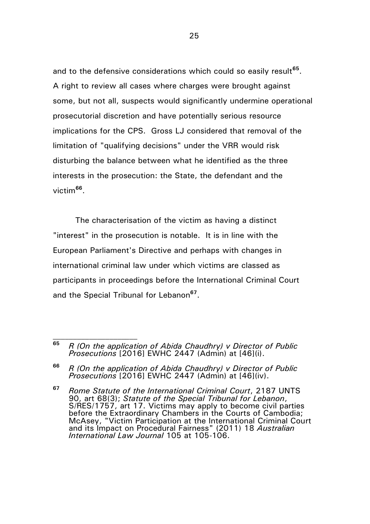and to the defensive considerations which could so easily result<sup>65</sup>. A right to review all cases where charges were brought against some, but not all, suspects would significantly undermine operational prosecutorial discretion and have potentially serious resource implications for the CPS. Gross LJ considered that removal of the limitation of "qualifying decisions" under the VRR would risk disturbing the balance between what he identified as the three interests in the prosecution: the State, the defendant and the victim**<sup>66</sup>** .

The characterisation of the victim as having a distinct "interest" in the prosecution is notable. It is in line with the European Parliament's Directive and perhaps with changes in international criminal law under which victims are classed as participants in proceedings before the International Criminal Court and the Special Tribunal for Lebanon**<sup>67</sup>** .

**<sup>67</sup>** *Rome Statute of the International Criminal Court*, 2187 UNTS 90, art 68(3); *Statute of the Special Tribunal for Lebanon*, S/RES/1757, art 17. Victims may apply to become civil parties before the Extraordinary Chambers in the Courts of Cambodia; McAsey, "Victim Participation at the International Criminal Court and its Impact on Procedural Fairness" (2011) 18 *Australian International Law Journal* 105 at 105-106.

**<sup>65</sup>** *R (On the application of Abida Chaudhry) v Director of Public Prosecutions* [2016] EWHC 2447 (Admin) at [46](i).

**<sup>66</sup>** *R (On the application of Abida Chaudhry) v Director of Public Prosecutions* [2016] EWHC 2447 (Admin) at [46](iv).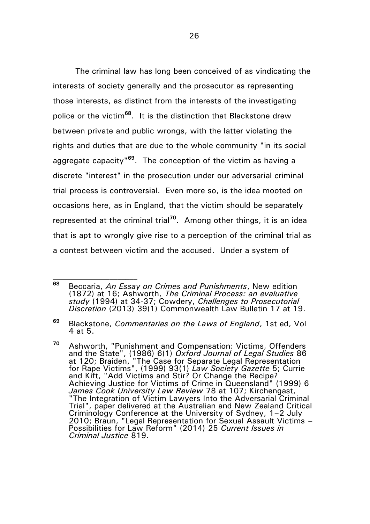The criminal law has long been conceived of as vindicating the interests of society generally and the prosecutor as representing those interests, as distinct from the interests of the investigating police or the victim**<sup>68</sup>**. It is the distinction that Blackstone drew between private and public wrongs, with the latter violating the rights and duties that are due to the whole community "in its social aggregate capacity"**<sup>69</sup>** . The conception of the victim as having a discrete "interest" in the prosecution under our adversarial criminal trial process is controversial. Even more so, is the idea mooted on occasions here, as in England, that the victim should be separately represented at the criminal trial**<sup>70</sup>** . Among other things, it is an idea that is apt to wrongly give rise to a perception of the criminal trial as a contest between victim and the accused. Under a system of

**<sup>68</sup>** Beccaria, *An Essay on Crimes and Punishments*, New edition (1872) at 16; Ashworth, *The Criminal Process: an evaluative study* (1994) at 34-37; Cowdery, *Challenges to Prosecutorial Discretion* (2013) 39(1) Commonwealth Law Bulletin 17 at 19.

**<sup>69</sup>** Blackstone, *Commentaries on the Laws of England*, 1st ed, Vol 4 at 5.

**<sup>70</sup>** Ashworth, "Punishment and Compensation: Victims, Offenders and the State", (1986) 6(1) *Oxford Journal of Legal Studies* 86 at 120; Braiden, "The Case for Separate Legal Representation for Rape Victims", (1999) 93(1) *Law Society Gazette* 5; Currie and Kift, "Add Victims and Stir? Or Change the Recipe? Achieving Justice for Victims of Crime in Queensland" (1999) 6 *James Cook University Law Review* 78 at 107; Kirchengast, "The Integration of Victim Lawyers Into the Adversarial Criminal Trial", paper delivered at the Australian and New Zealand Critical Criminology Conference at the University of Sydney, 1–2 July 2010; Braun, "Legal Representation for Sexual Assault Victims – Possibilities for Law Reform" (2014) 25 *Current Issues in Criminal Justice* 819.